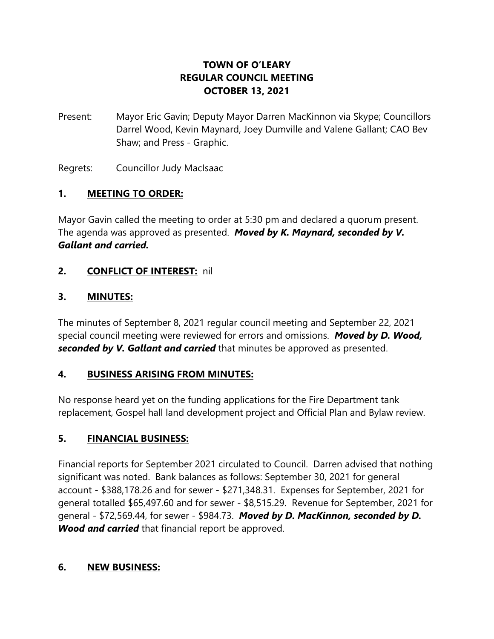# **TOWN OF O'LEARY REGULAR COUNCIL MEETING OCTOBER 13, 2021**

Present: Mayor Eric Gavin; Deputy Mayor Darren MacKinnon via Skype; Councillors Darrel Wood, Kevin Maynard, Joey Dumville and Valene Gallant; CAO Bev Shaw; and Press - Graphic.

Regrets: Councillor Judy MacIsaac

## **1. MEETING TO ORDER:**

Mayor Gavin called the meeting to order at 5:30 pm and declared a quorum present. The agenda was approved as presented. *Moved by K. Maynard, seconded by V. Gallant and carried.*

## **2. CONFLICT OF INTEREST:** nil

## **3. MINUTES:**

The minutes of September 8, 2021 regular council meeting and September 22, 2021 special council meeting were reviewed for errors and omissions. *Moved by D. Wood, seconded by V. Gallant and carried* that minutes be approved as presented.

#### **4. BUSINESS ARISING FROM MINUTES:**

No response heard yet on the funding applications for the Fire Department tank replacement, Gospel hall land development project and Official Plan and Bylaw review.

## **5. FINANCIAL BUSINESS:**

Financial reports for September 2021 circulated to Council. Darren advised that nothing significant was noted. Bank balances as follows: September 30, 2021 for general account - \$388,178.26 and for sewer - \$271,348.31. Expenses for September, 2021 for general totalled \$65,497.60 and for sewer - \$8,515.29. Revenue for September, 2021 for general - \$72,569.44, for sewer - \$984.73. *Moved by D. MacKinnon, seconded by D. Wood and carried* that financial report be approved.

#### **6. NEW BUSINESS:**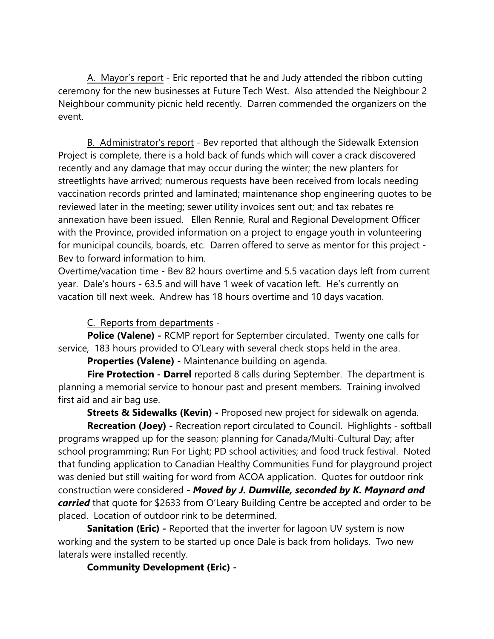A. Mayor's report - Eric reported that he and Judy attended the ribbon cutting ceremony for the new businesses at Future Tech West. Also attended the Neighbour 2 Neighbour community picnic held recently. Darren commended the organizers on the event.

B. Administrator's report - Bev reported that although the Sidewalk Extension Project is complete, there is a hold back of funds which will cover a crack discovered recently and any damage that may occur during the winter; the new planters for streetlights have arrived; numerous requests have been received from locals needing vaccination records printed and laminated; maintenance shop engineering quotes to be reviewed later in the meeting; sewer utility invoices sent out; and tax rebates re annexation have been issued. Ellen Rennie, Rural and Regional Development Officer with the Province, provided information on a project to engage youth in volunteering for municipal councils, boards, etc. Darren offered to serve as mentor for this project - Bev to forward information to him.

Overtime/vacation time - Bev 82 hours overtime and 5.5 vacation days left from current year. Dale's hours - 63.5 and will have 1 week of vacation left. He's currently on vacation till next week. Andrew has 18 hours overtime and 10 days vacation.

C. Reports from departments -

**Police (Valene) -** RCMP report for September circulated. Twenty one calls for service, 183 hours provided to O'Leary with several check stops held in the area.

**Properties (Valene) -** Maintenance building on agenda.

**Fire Protection - Darrel** reported 8 calls during September. The department is planning a memorial service to honour past and present members. Training involved first aid and air bag use.

**Streets & Sidewalks (Kevin) -** Proposed new project for sidewalk on agenda.

**Recreation (Joey) -** Recreation report circulated to Council. Highlights - softball programs wrapped up for the season; planning for Canada/Multi-Cultural Day; after school programming; Run For Light; PD school activities; and food truck festival. Noted that funding application to Canadian Healthy Communities Fund for playground project was denied but still waiting for word from ACOA application. Quotes for outdoor rink construction were considered - *Moved by J. Dumville, seconded by K. Maynard and carried* that quote for \$2633 from O'Leary Building Centre be accepted and order to be placed. Location of outdoor rink to be determined.

**Sanitation (Eric)** - Reported that the inverter for lagoon UV system is now working and the system to be started up once Dale is back from holidays. Two new laterals were installed recently.

**Community Development (Eric) -**